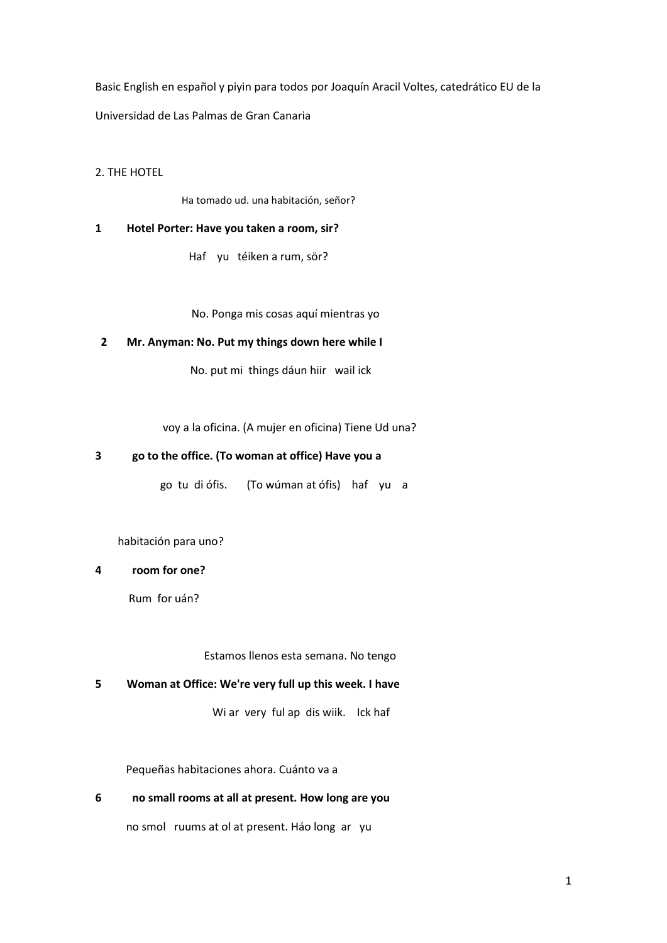Basic English en español y piyin para todos por Joaquín Aracil Voltes, catedrático EU de la Universidad de Las Palmas de Gran Canaria

2. THE HOTEL

Ha tomado ud. una habitación, señor?

#### **1 Hotel Porter: Have you taken a room, sir?**

Haf yu téiken a rum, sör?

No. Ponga mis cosas aquí mientras yo

## **2 Mr. Anyman: No. Put my things down here while I**

No. put mi things dáun hiir wail ick

voy a la oficina. (A mujer en oficina) Tiene Ud una?

#### **3 go to the office. (To woman at office) Have you a**

go tu di ófis. (To wúman at ófis) haf yu a

habitación para uno?

# **4 room for one?**

Rum for uán?

Estamos llenos esta semana. No tengo

#### **5 Woman at Office: We're very full up this week. I have**

Wi ar very ful ap dis wiik. Ick haf

Pequeñas habitaciones ahora. Cuánto va a

### **6 no small rooms at all at present. How long are you**

no smol ruums at ol at present. Háo long ar yu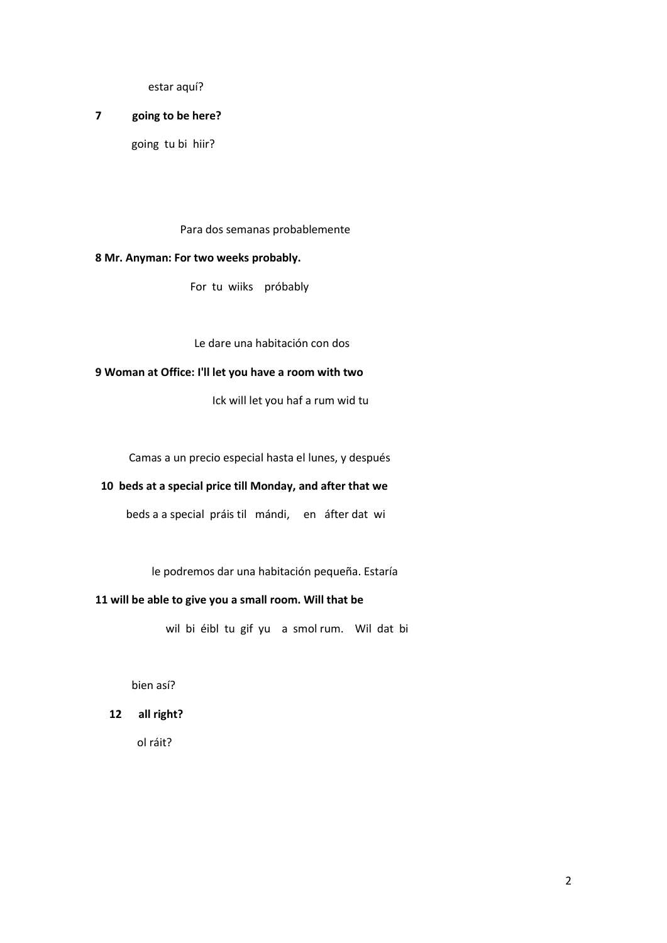estar aquí?

## **7 going to be here?**

going tu bi hiir?

Para dos semanas probablemente

## **8 Mr. Anyman: For two weeks probably.**

For tu wiiks próbably

Le dare una habitación con dos

### **9 Woman at Office: I'll let you have a room with two**

Ick will let you haf a rum wid tu

Camas a un precio especial hasta el lunes, y después

# **10 beds at a special price till Monday, and after that we**

beds a a special práis til mándi, en áfter dat wi

le podremos dar una habitación pequeña. Estaría

## **11 will be able to give you a small room. Will that be**

wil bi éibl tu gif yu a smol rum. Wil dat bi

bien así?

 **12 all right?**

ol ráit?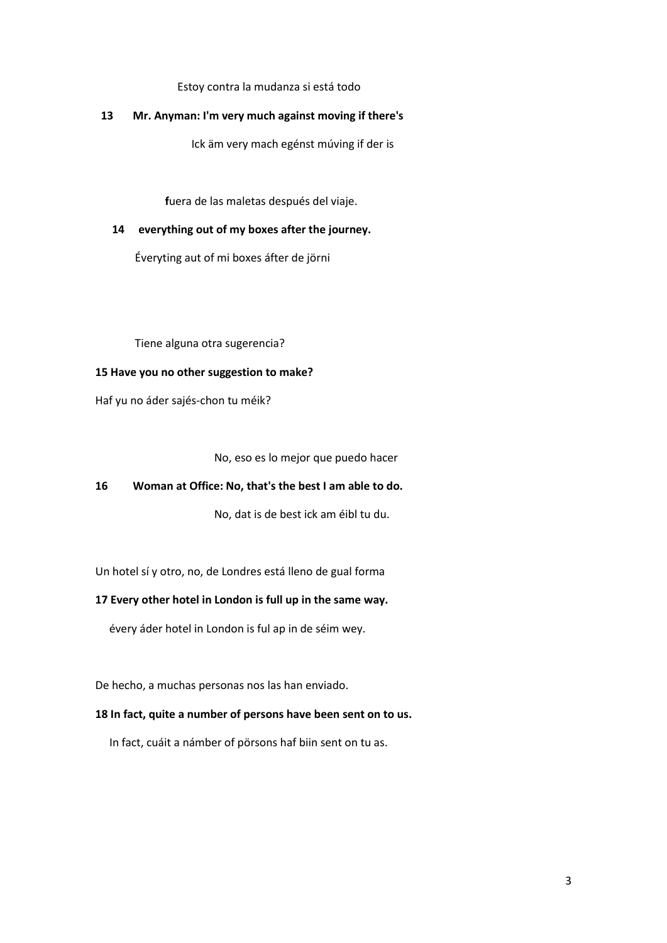Estoy contra la mudanza si está todo

### **13 Mr. Anyman: I'm very much against moving if there's**

Ick äm very mach egénst múving if der is

 **f**uera de las maletas después del viaje.

## **14 everything out of my boxes after the journey.**

Éveryting aut of mi boxes áfter de jörni

Tiene alguna otra sugerencia?

## **15 Have you no other suggestion to make?**

Haf yu no áder sajés-chon tu méik?

No, eso es lo mejor que puedo hacer

## **16 Woman at Office: No, that's the best I am able to do.**

No, dat is de best ick am éibl tu du.

Un hotel sí y otro, no, de Londres está lleno de gual forma

## **17 Every other hotel in London is full up in the same way.**

évery áder hotel in London is ful ap in de séim wey.

De hecho, a muchas personas nos las han enviado.

## **18 In fact, quite a number of persons have been sent on to us.**

In fact, cuáit a námber of pörsons haf biin sent on tu as.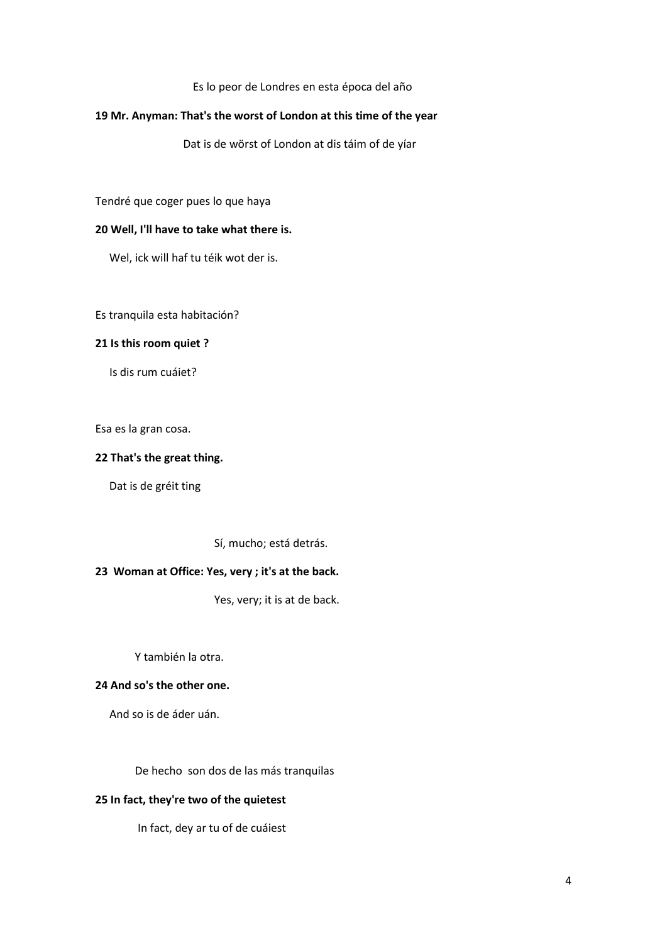#### Es lo peor de Londres en esta época del año

### **19 Mr. Anyman: That's the worst of London at this time of the year**

Dat is de wörst of London at dis táim of de yíar

Tendré que coger pues lo que haya

## **20 Well, I'll have to take what there is.**

Wel, ick will haf tu téik wot der is.

Es tranquila esta habitación?

### **21 Is this room quiet ?**

Is dis rum cuáiet?

Esa es la gran cosa.

## **22 That's the great thing.**

Dat is de gréit ting

Sí, mucho; está detrás.

# **23 Woman at Office: Yes, very ; it's at the back.**

Yes, very; it is at de back.

Y también la otra.

#### **24 And so's the other one.**

And so is de áder uán.

De hecho son dos de las más tranquilas

## **25 In fact, they're two of the quietest**

In fact, dey ar tu of de cuáiest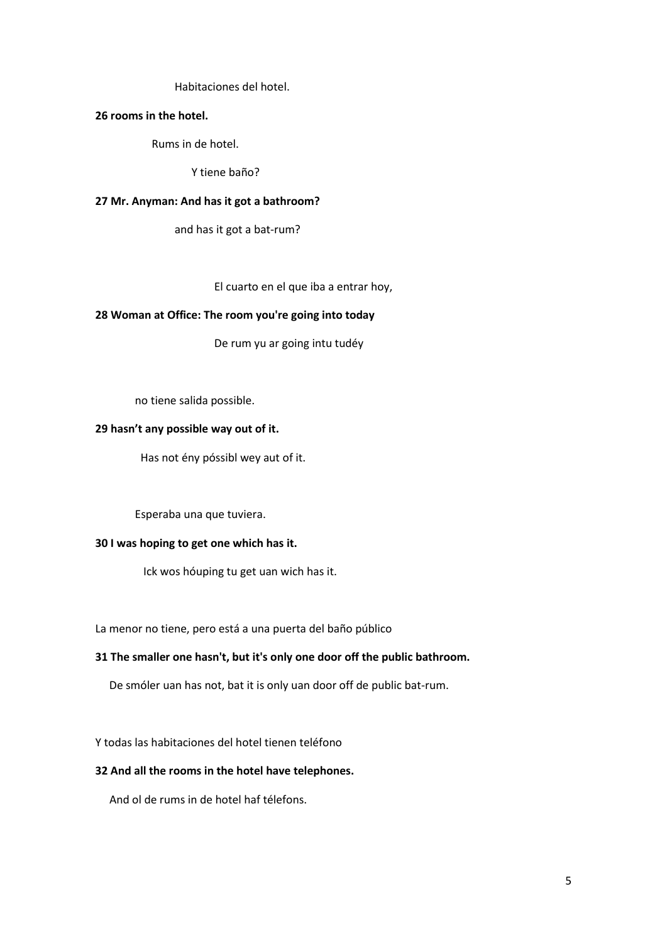Habitaciones del hotel.

#### **26 rooms in the hotel.**

Rums in de hotel.

Y tiene baño?

#### **27 Mr. Anyman: And has it got a bathroom?**

and has it got a bat-rum?

El cuarto en el que iba a entrar hoy,

#### **28 Woman at Office: The room you're going into today**

De rum yu ar going intu tudéy

no tiene salida possible.

## **29 hasn't any possible way out of it.**

Has not ény póssibl wey aut of it.

Esperaba una que tuviera.

#### **30 I was hoping to get one which has it.**

Ick wos hóuping tu get uan wich has it.

La menor no tiene, pero está a una puerta del baño público

## **31 The smaller one hasn't, but it's only one door off the public bathroom.**

De smóler uan has not, bat it is only uan door off de public bat-rum.

Y todas las habitaciones del hotel tienen teléfono

## **32 And all the rooms in the hotel have telephones.**

And ol de rums in de hotel haf télefons.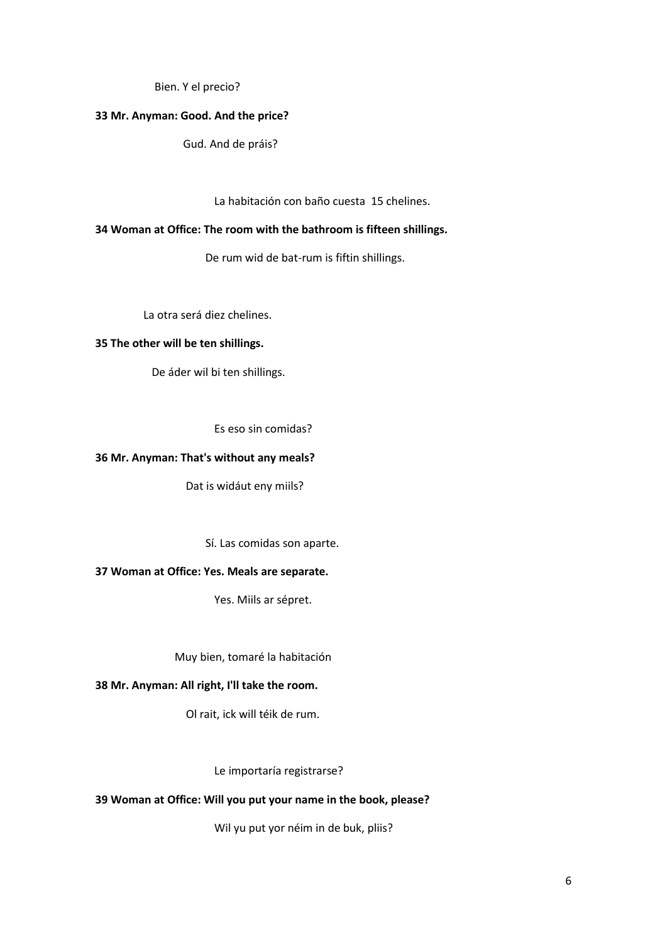Bien. Y el precio?

## **33 Mr. Anyman: Good. And the price?**

Gud. And de práis?

La habitación con baño cuesta 15 chelines.

### **34 Woman at Office: The room with the bathroom is fifteen shillings.**

De rum wid de bat-rum is fiftin shillings.

La otra será diez chelines.

#### **35 The other will be ten shillings.**

De áder wil bi ten shillings.

Es eso sin comidas?

## **36 Mr. Anyman: That's without any meals?**

Dat is widáut eny miils?

Sí. Las comidas son aparte.

## **37 Woman at Office: Yes. Meals are separate.**

Yes. Miils ar sépret.

Muy bien, tomaré la habitación

## **38 Mr. Anyman: All right, I'll take the room.**

Ol rait, ick will téik de rum.

Le importaría registrarse?

## **39 Woman at Office: Will you put your name in the book, please?**

Wil yu put yor néim in de buk, pliis?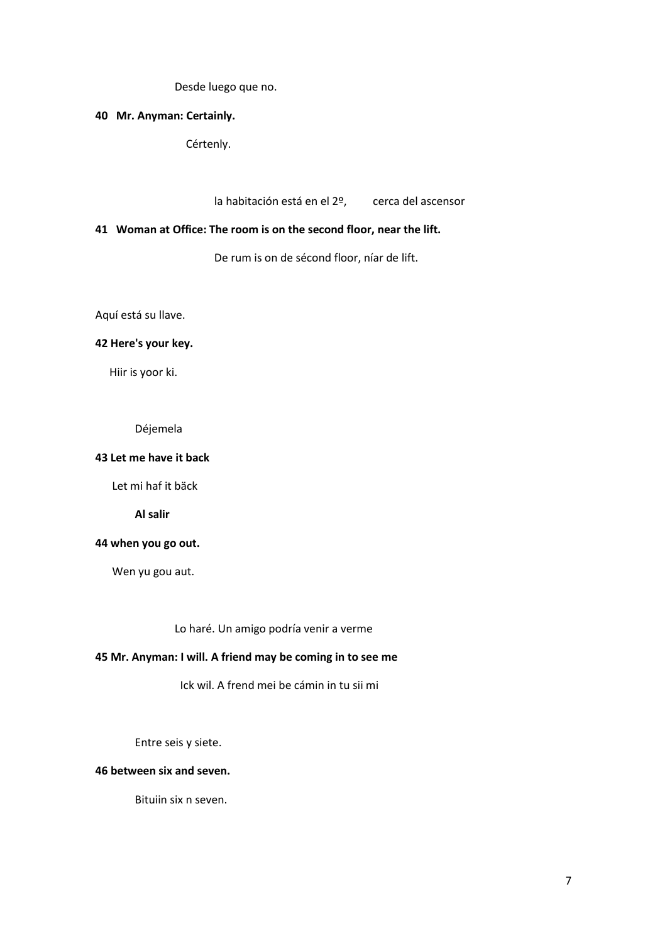Desde luego que no.

## **40 Mr. Anyman: Certainly.**

Cértenly.

la habitación está en el 2º, cerca del ascensor

# **41 Woman at Office: The room is on the second floor, near the lift.**

De rum is on de sécond floor, níar de lift.

Aquí está su llave.

## **42 Here's your key.**

Hiir is yoor ki.

Déjemela

## **43 Let me have it back**

Let mi haf it bäck

**Al salir**

## **44 when you go out.**

Wen yu gou aut.

Lo haré. Un amigo podría venir a verme

# **45 Mr. Anyman: I will. A friend may be coming in to see me**

Ick wil. A frend mei be cámin in tu sii mi

Entre seis y siete.

## **46 between six and seven.**

Bituiin six n seven.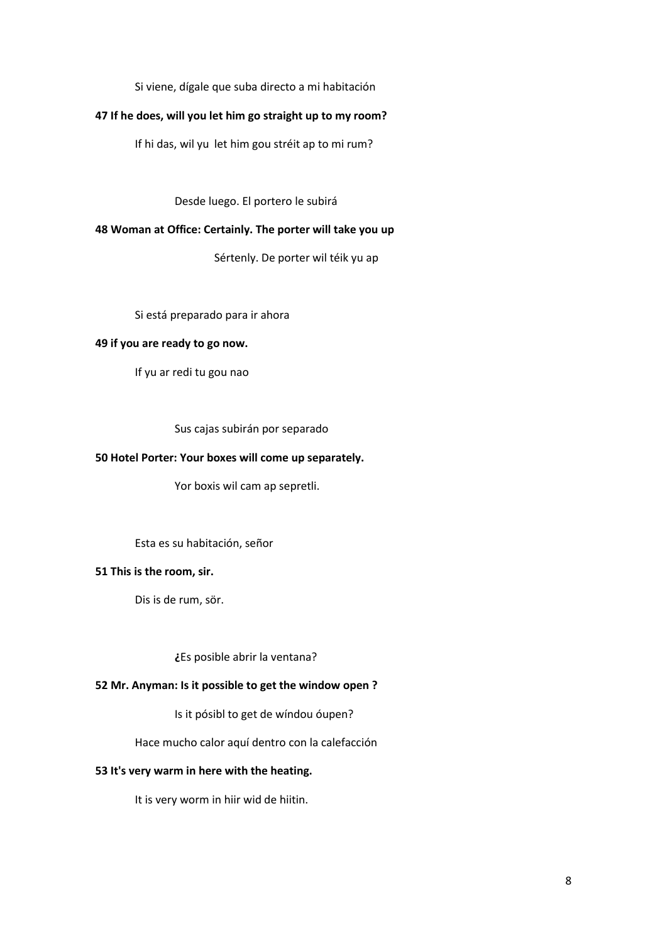Si viene, dígale que suba directo a mi habitación

## **47 If he does, will you let him go straight up to my room?**

If hi das, wil yu let him gou stréit ap to mi rum?

Desde luego. El portero le subirá

## **48 Woman at Office: Certainly. The porter will take you up**

Sértenly. De porter wil téik yu ap

Si está preparado para ir ahora

### **49 if you are ready to go now.**

If yu ar redi tu gou nao

Sus cajas subirán por separado

#### **50 Hotel Porter: Your boxes will come up separately.**

Yor boxis wil cam ap sepretli.

#### Esta es su habitación, señor

## **51 This is the room, sir.**

Dis is de rum, sör.

**¿**Es posible abrir la ventana?

## **52 Mr. Anyman: Is it possible to get the window open ?**

Is it pósibl to get de wíndou óupen?

Hace mucho calor aquí dentro con la calefacción

## **53 It's very warm in here with the heating.**

It is very worm in hiir wid de hiitin.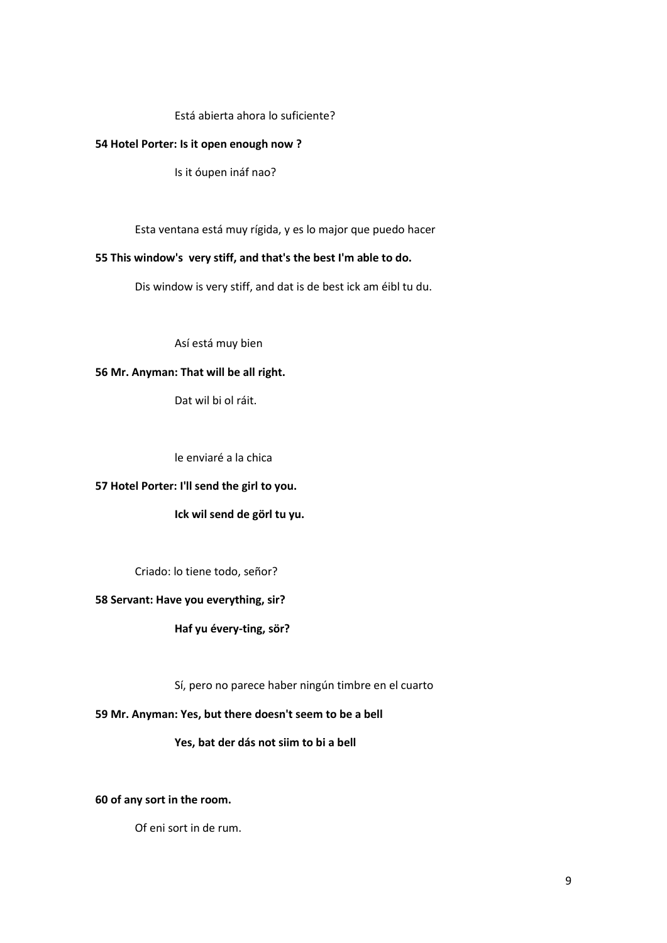## Está abierta ahora lo suficiente?

#### **54 Hotel Porter: Is it open enough now ?**

Is it óupen ináf nao?

Esta ventana está muy rígida, y es lo major que puedo hacer

## **55 This window's very stiff, and that's the best I'm able to do.**

Dis window is very stiff, and dat is de best ick am éibl tu du.

Así está muy bien

### **56 Mr. Anyman: That will be all right.**

Dat wil bi ol ráit.

le enviaré a la chica

# **57 Hotel Porter: I'll send the girl to you.**

**Ick wil send de görl tu yu.**

Criado: lo tiene todo, señor?

#### **58 Servant: Have you everything, sir?**

**Haf yu évery-ting, sör?**

Sí, pero no parece haber ningún timbre en el cuarto

#### **59 Mr. Anyman: Yes, but there doesn't seem to be a bell**

## **Yes, bat der dás not siim to bi a bell**

## **60 of any sort in the room.**

Of eni sort in de rum.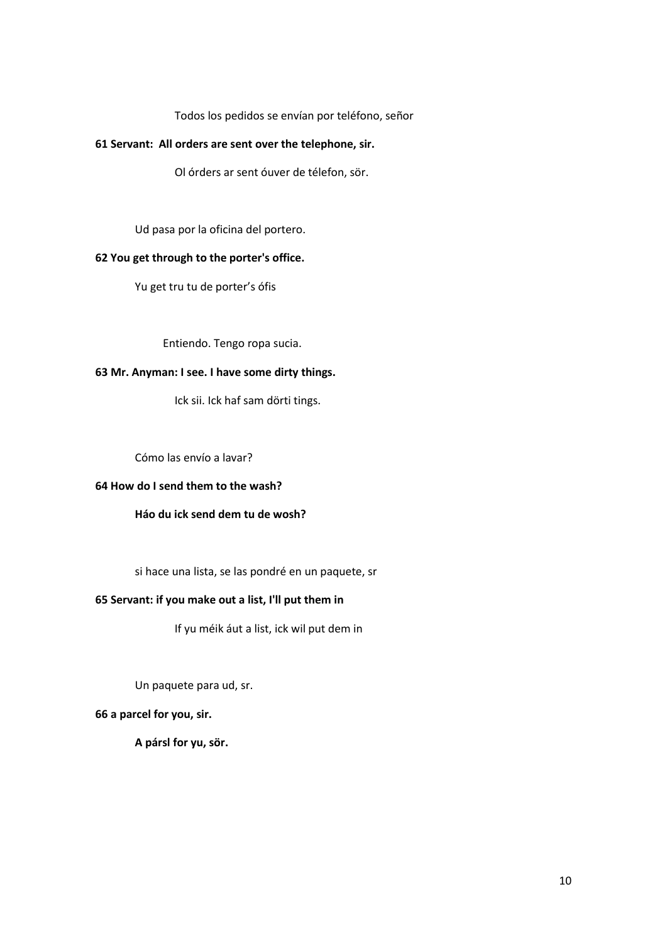Todos los pedidos se envían por teléfono, señor

## **61 Servant: All orders are sent over the telephone, sir.**

Ol órders ar sent óuver de télefon, sör.

Ud pasa por la oficina del portero.

## **62 You get through to the porter's office.**

Yu get tru tu de porter's ófis

Entiendo. Tengo ropa sucia.

## **63 Mr. Anyman: I see. I have some dirty things.**

Ick sii. Ick haf sam dörti tings.

Cómo las envío a lavar?

## **64 How do I send them to the wash?**

# **Háo du ick send dem tu de wosh?**

si hace una lista, se las pondré en un paquete, sr

## **65 Servant: if you make out a list, I'll put them in**

If yu méik áut a list, ick wil put dem in

Un paquete para ud, sr.

## **66 a parcel for you, sir.**

**A pársl for yu, sör.**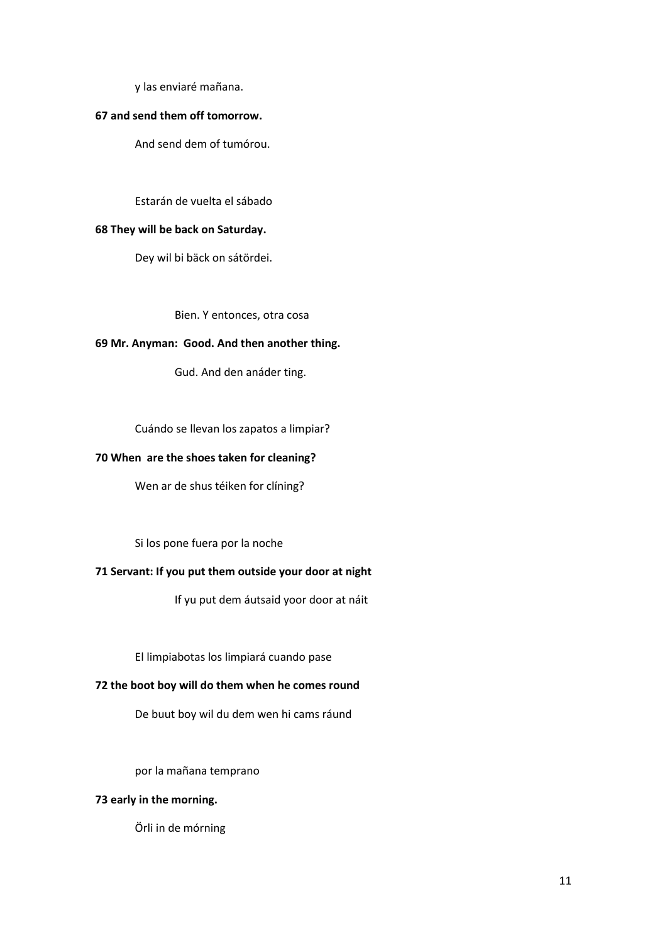y las enviaré mañana.

#### **67 and send them off tomorrow.**

And send dem of tumórou.

#### Estarán de vuelta el sábado

## **68 They will be back on Saturday.**

Dey wil bi bäck on sátördei.

Bien. Y entonces, otra cosa

## **69 Mr. Anyman: Good. And then another thing.**

Gud. And den anáder ting.

Cuándo se llevan los zapatos a limpiar?

### **70 When are the shoes taken for cleaning?**

Wen ar de shus téiken for clíning?

Si los pone fuera por la noche

## **71 Servant: If you put them outside your door at night**

If yu put dem áutsaid yoor door at náit

El limpiabotas los limpiará cuando pase

## **72 the boot boy will do them when he comes round**

De buut boy wil du dem wen hi cams ráund

por la mañana temprano

## **73 early in the morning.**

Örli in de mórning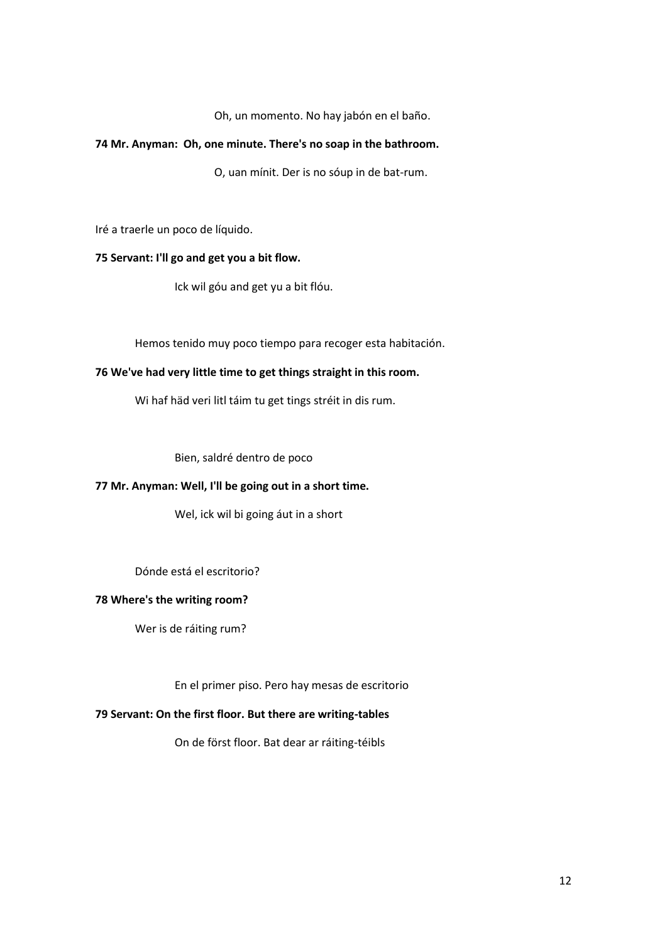Oh, un momento. No hay jabón en el baño.

## **74 Mr. Anyman: Oh, one minute. There's no soap in the bathroom.**

O, uan mínit. Der is no sóup in de bat-rum.

Iré a traerle un poco de líquido.

# **75 Servant: I'll go and get you a bit flow.**

Ick wil góu and get yu a bit flóu.

Hemos tenido muy poco tiempo para recoger esta habitación.

## **76 We've had very little time to get things straight in this room.**

Wi haf häd veri litl táim tu get tings stréit in dis rum.

Bien, saldré dentro de poco

## **77 Mr. Anyman: Well, I'll be going out in a short time.**

Wel, ick wil bi going áut in a short

Dónde está el escritorio?

#### **78 Where's the writing room?**

Wer is de ráiting rum?

En el primer piso. Pero hay mesas de escritorio

## **79 Servant: On the first floor. But there are writing-tables**

On de först floor. Bat dear ar ráiting-téibls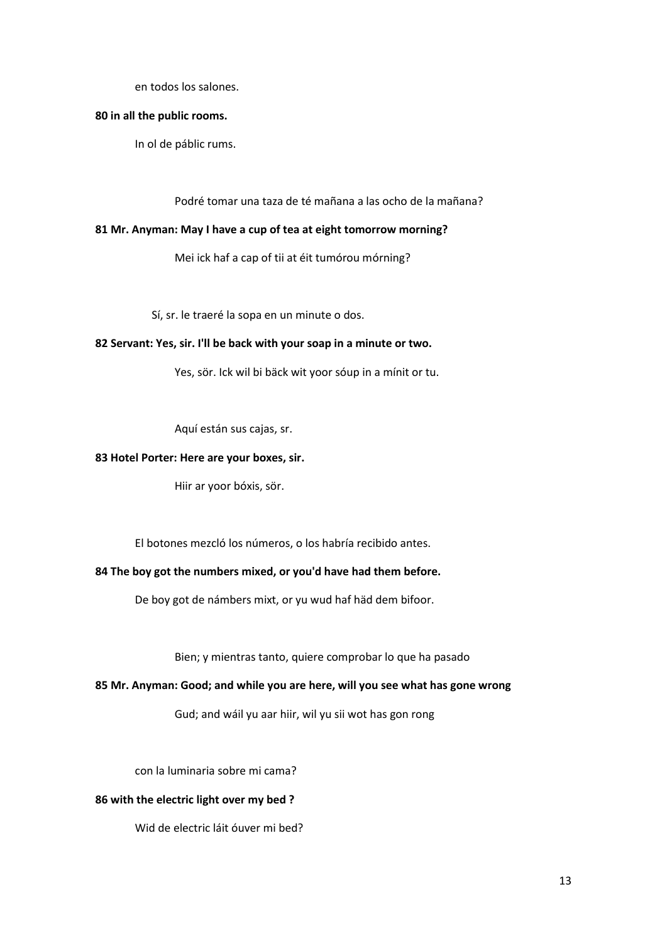en todos los salones.

## **80 in all the public rooms.**

In ol de páblic rums.

Podré tomar una taza de té mañana a las ocho de la mañana?

## **81 Mr. Anyman: May I have a cup of tea at eight tomorrow morning?**

Mei ick haf a cap of tii at éit tumórou mórning?

Sí, sr. le traeré la sopa en un minute o dos.

### **82 Servant: Yes, sir. I'll be back with your soap in a minute or two.**

Yes, sör. Ick wil bi bäck wit yoor sóup in a mínit or tu.

Aquí están sus cajas, sr.

#### **83 Hotel Porter: Here are your boxes, sir.**

Hiir ar yoor bóxis, sör.

El botones mezcló los números, o los habría recibido antes.

## **84 The boy got the numbers mixed, or you'd have had them before.**

De boy got de námbers mixt, or yu wud haf häd dem bifoor.

Bien; y mientras tanto, quiere comprobar lo que ha pasado

#### **85 Mr. Anyman: Good; and while you are here, will you see what has gone wrong**

Gud; and wáil yu aar hiir, wil yu sii wot has gon rong

con la luminaria sobre mi cama?

## **86 with the electric light over my bed ?**

Wid de electric láit óuver mi bed?